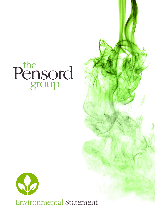## Pensord<sup>®</sup>



Environmental Statement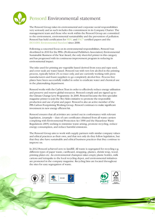

## Pensord Environmental statement

The Pensord Group takes its environmental and corporate social responsibilities very seriously and as such includes this commitment in its Company Charter. The management team and those who work within the Pensord Group are committed to the environment, environmental sustainability and the prevention of pollution. Pensord has held certification for PEFC and FSC® certified papers and the ISO14001 Environmental Standard since 2008.

Following a concerted focus on its environmental responsibilities, Pensord was shortlisted in 2010 for the PPA's (Professional Publishers Association) Environmental Sustainable Business of the Year Award, the only sheet-fed printer in this category and has progressed with its continuous improvement program in reducing its environmental impact.

The inks used for printing are vegetable based derived from soya and rape seed, and cover seals are water based. Pensord run with very low alcohol in the printing process, typically below 2% so trace only, and are currently working with press manufacturers and fount suppliers to go completely alcohol free. Process free plates have been successfully trialled in order to eradicate water and chemical use in the platemaking department.

Pensord works with the Carbon Trust in order to effectively reduce energy utilisation and preserve and reserve global resources. Pensord comply and are signed up to the Climate Change Levy Programme. In 2009, Pensord became the first specialist magazine printer to join the Two Sides initiative to promote the responsible production and use of print and paper. Pensord is also an active member of the PPA Carbon Footprinting Working Group. Pensord continues to make significant investment in new energy efficient kit.

Pensord ensures that all activities are carried out in conformance with relevant legislation, (example – duty of care certificates obtained from all waste carriers complying with Environmental Protection Act 1990 and the Hazardous Waste Regulations 2005) seeking to minimise waste arising, promote recycling, reduce energy consumption, and reduce harmful emissions.

The Pensord Group aim to work with supply partners with similar company values and ethical practices as their own, and that not only do they follow legislation, but that they also have sustainable and ethical business practices that they continue to improve on.

In 2012 Pensord achieved zero to landfill. All waste is segregated for recycling e.g. different types of paper waste, cardboard, strapping, plastics, shrink wrap, wood, printing plates etc. An environmental champion takes empty plastic bottles, milk cartons and tetrapaks to the local recycling depot, and environmental initiatives are promoted in the company magazine. Recycling bins are located throughout the sites for easy segregation of waste.



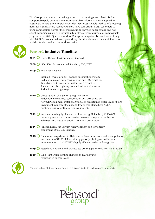The Group are committed to taking action to reduce single use plastic. Before compostable poly became more widely available, information was supplied to customers to help them carefully consider their most suitable method of preparing items for mailing. More recently Pensord have converted several customers to using compostable poly for their mailing, using recycled paper stocks, and not shrink-wrapping pallets or products in bundles. A recent example of compostable poly use is the 2019 Queens Award for Enterprise magazine. Pensord work closely with J & G Environmental, an approved supplier that also recycles aluminium cans, and the funds raised are donated to charity.

 $\lambda$ 



## **Pensord Initiative Timeline**

| 2005<br>Green Dragon Environmental Standard                                                                                                                                                                                                                                                                |
|------------------------------------------------------------------------------------------------------------------------------------------------------------------------------------------------------------------------------------------------------------------------------------------------------------|
| 2008<br>ISO 14001 Environmental Standard; FSC; PEFC                                                                                                                                                                                                                                                        |
| 2009<br>Two Sides initiative                                                                                                                                                                                                                                                                               |
| Installed Powerstar unit - voltage optimisation system<br>Reduction in electricity consumption and C02 emissions<br>Taps changed to auto-stop. Water usage reduction<br>Sensor controlled lighting installed in low traffic areas.<br>Reduction in energy usage                                            |
| 2010<br>Office lighting change to T5 High Efficiency<br>Reduction in electricity consumption and C02 emissions<br>New CTP equipment installed. Associated reduction in water usage of 30%<br>Investment in highly efficient and low energy Heidelberg XL105<br>printing press to replace ageing equipment. |
| 2012<br>Investment in highly efficient and low energy Heidelberg XL106 8PL<br>printing press taking out two older presses and replacing with one.<br>Achieved zero waste to landfill (DS Smith Certification)                                                                                              |
| 2015<br>Pensord Digital set up with highly efficient and low energy<br>equipment. 100% LED lighting.                                                                                                                                                                                                       |
| 2018<br>Directors changed over to Hybrid cars, Lower emissions and noise pollution<br>Investment in XL106 8P Pro printing press (replacing two with one)<br>Investment in 2 x Stahl TH82P highly efficient folder replacing 2 for 1.                                                                       |
| 2019<br>Tested and implemented processless printing plates reducing water usage.                                                                                                                                                                                                                           |
| 2020<br>Main Plant Office lighting changed to LED lighting,<br>reduction in energy usage                                                                                                                                                                                                                   |



Pensord offers all their customers a free green audit to reduce carbon impact.